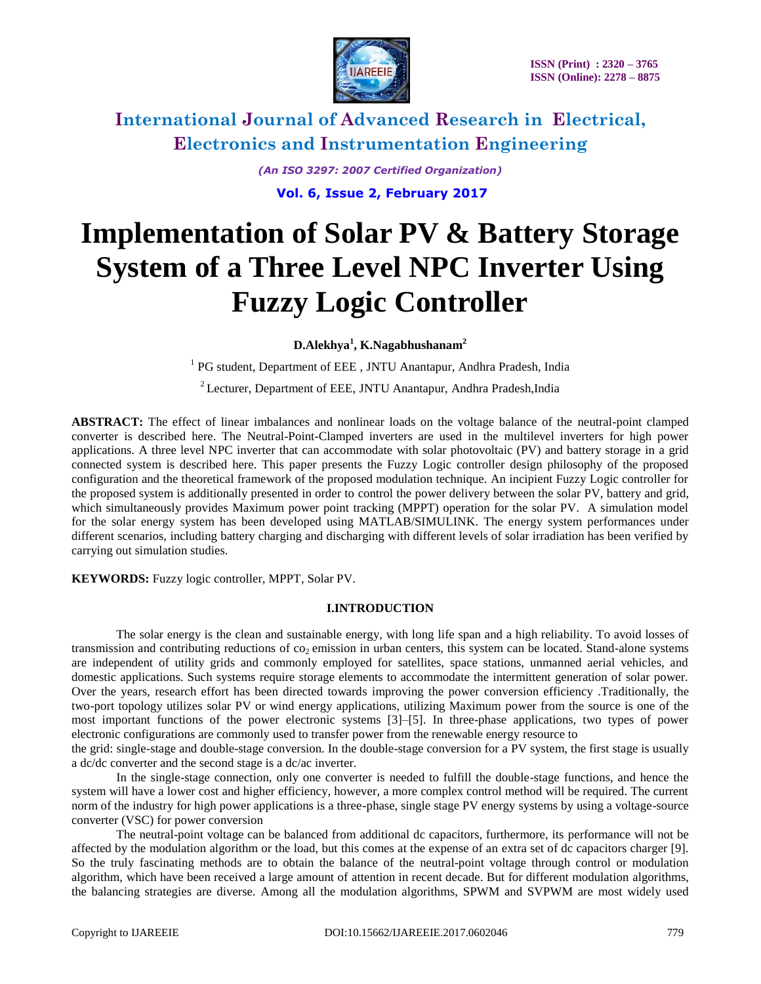

*(An ISO 3297: 2007 Certified Organization)*

**Vol. 6, Issue 2, February 2017**

# **Implementation of Solar PV & Battery Storage System of a Three Level NPC Inverter Using Fuzzy Logic Controller**

**D.Alekhya<sup>1</sup> , K.Nagabhushanam<sup>2</sup>**

<sup>1</sup> PG student, Department of EEE, JNTU Anantapur, Andhra Pradesh, India

 $2$  Lecturer, Department of EEE, JNTU Anantapur, Andhra Pradesh, India

**ABSTRACT:** The effect of linear imbalances and nonlinear loads on the voltage balance of the neutral-point clamped converter is described here. The Neutral-Point-Clamped inverters are used in the multilevel inverters for high power applications. A three level NPC inverter that can accommodate with solar photovoltaic (PV) and battery storage in a grid connected system is described here. This paper presents the Fuzzy Logic controller design philosophy of the proposed configuration and the theoretical framework of the proposed modulation technique. An incipient Fuzzy Logic controller for the proposed system is additionally presented in order to control the power delivery between the solar PV, battery and grid, which simultaneously provides Maximum power point tracking (MPPT) operation for the solar PV. A simulation model for the solar energy system has been developed using MATLAB/SIMULINK. The energy system performances under different scenarios, including battery charging and discharging with different levels of solar irradiation has been verified by carrying out simulation studies.

**KEYWORDS:** Fuzzy logic controller, MPPT, Solar PV.

### **I.INTRODUCTION**

The solar energy is the clean and sustainable energy, with long life span and a high reliability. To avoid losses of transmission and contributing reductions of  $\cos_2$  emission in urban centers, this system can be located. Stand-alone systems are independent of utility grids and commonly employed for satellites, space stations, unmanned aerial vehicles, and domestic applications. Such systems require storage elements to accommodate the intermittent generation of solar power. Over the years, research effort has been directed towards improving the power conversion efficiency .Traditionally, the two-port topology utilizes solar PV or wind energy applications, utilizing Maximum power from the source is one of the most important functions of the power electronic systems [3]–[5]. In three-phase applications, two types of power electronic configurations are commonly used to transfer power from the renewable energy resource to

the grid: single-stage and double-stage conversion. In the double-stage conversion for a PV system, the first stage is usually a dc/dc converter and the second stage is a dc/ac inverter.

In the single-stage connection, only one converter is needed to fulfill the double-stage functions, and hence the system will have a lower cost and higher efficiency, however, a more complex control method will be required. The current norm of the industry for high power applications is a three-phase, single stage PV energy systems by using a voltage-source converter (VSC) for power conversion

The neutral-point voltage can be balanced from additional dc capacitors, furthermore, its performance will not be affected by the modulation algorithm or the load, but this comes at the expense of an extra set of dc capacitors charger [9]. So the truly fascinating methods are to obtain the balance of the neutral-point voltage through control or modulation algorithm, which have been received a large amount of attention in recent decade. But for different modulation algorithms, the balancing strategies are diverse. Among all the modulation algorithms, SPWM and SVPWM are most widely used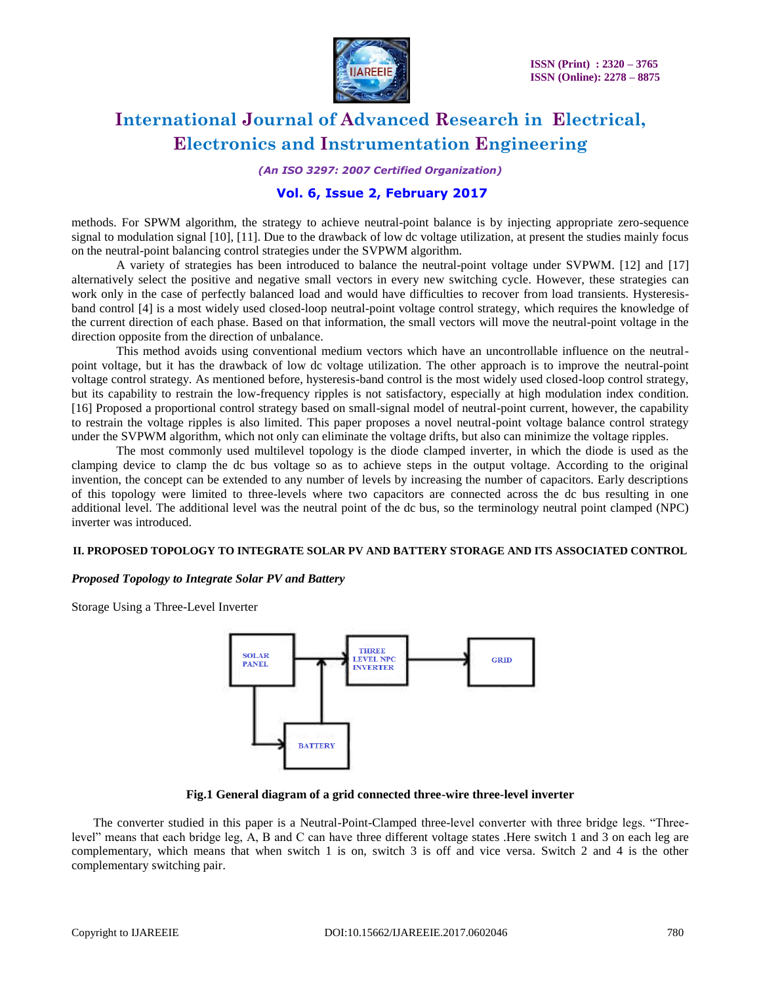

*(An ISO 3297: 2007 Certified Organization)*

### **Vol. 6, Issue 2, February 2017**

methods. For SPWM algorithm, the strategy to achieve neutral-point balance is by injecting appropriate zero-sequence signal to modulation signal [10], [11]. Due to the drawback of low dc voltage utilization, at present the studies mainly focus on the neutral-point balancing control strategies under the SVPWM algorithm.

A variety of strategies has been introduced to balance the neutral-point voltage under SVPWM. [12] and [17] alternatively select the positive and negative small vectors in every new switching cycle. However, these strategies can work only in the case of perfectly balanced load and would have difficulties to recover from load transients. Hysteresisband control [4] is a most widely used closed-loop neutral-point voltage control strategy, which requires the knowledge of the current direction of each phase. Based on that information, the small vectors will move the neutral-point voltage in the direction opposite from the direction of unbalance.

This method avoids using conventional medium vectors which have an uncontrollable influence on the neutralpoint voltage, but it has the drawback of low dc voltage utilization. The other approach is to improve the neutral-point voltage control strategy. As mentioned before, hysteresis-band control is the most widely used closed-loop control strategy, but its capability to restrain the low-frequency ripples is not satisfactory, especially at high modulation index condition. [16] Proposed a proportional control strategy based on small-signal model of neutral-point current, however, the capability to restrain the voltage ripples is also limited. This paper proposes a novel neutral-point voltage balance control strategy under the SVPWM algorithm, which not only can eliminate the voltage drifts, but also can minimize the voltage ripples.

The most commonly used multilevel topology is the diode clamped inverter, in which the diode is used as the clamping device to clamp the dc bus voltage so as to achieve steps in the output voltage. According to the original invention, the concept can be extended to any number of levels by increasing the number of capacitors. Early descriptions of this topology were limited to three-levels where two capacitors are connected across the dc bus resulting in one additional level. The additional level was the neutral point of the dc bus, so the terminology neutral point clamped (NPC) inverter was introduced.

### **II. PROPOSED TOPOLOGY TO INTEGRATE SOLAR PV AND BATTERY STORAGE AND ITS ASSOCIATED CONTROL**

### *Proposed Topology to Integrate Solar PV and Battery*

Storage Using a Three-Level Inverter



### **Fig.1 General diagram of a grid connected three-wire three-level inverter**

The converter studied in this paper is a Neutral-Point-Clamped three-level converter with three bridge legs. "Threelevel" means that each bridge leg, A, B and C can have three different voltage states .Here switch 1 and 3 on each leg are complementary, which means that when switch 1 is on, switch 3 is off and vice versa. Switch 2 and 4 is the other complementary switching pair.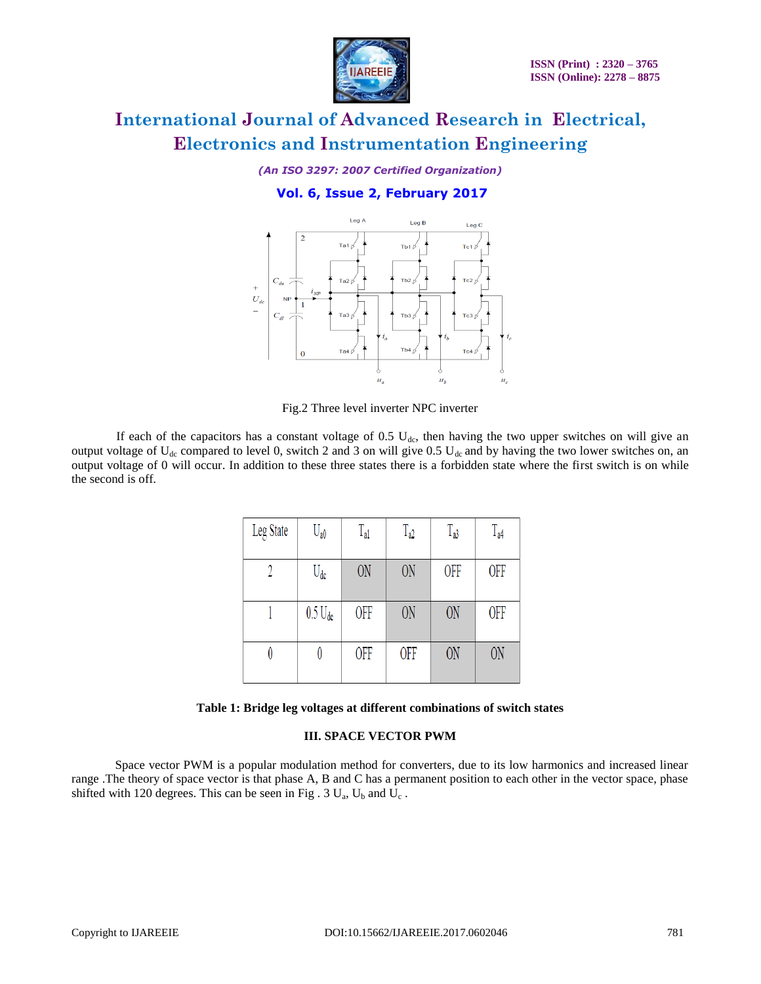

*(An ISO 3297: 2007 Certified Organization)*

### **Vol. 6, Issue 2, February 2017**



Fig.2 Three level inverter NPC inverter

If each of the capacitors has a constant voltage of  $0.5 \text{ U}_{dc}$ , then having the two upper switches on will give an output voltage of  $U_{dc}$  compared to level 0, switch 2 and 3 on will give 0.5  $U_{dc}$  and by having the two lower switches on, an output voltage of 0 will occur. In addition to these three states there is a forbidden state where the first switch is on while the second is off.

| Leg State | $\rm U_{\rm a0}$ | $T_{a1}$   | $T_{a2}$       | $T_{a3}$   | $T_{a4}$       |
|-----------|------------------|------------|----------------|------------|----------------|
|           | $U_{dc}$         | <b>ON</b>  | 0 <sub>N</sub> | <b>OFF</b> | <b>OFF</b>     |
|           | $0.5 U_{dc}$     | <b>OFF</b> | 0 <sub>N</sub> | <b>ON</b>  | <b>OFF</b>     |
|           |                  | <b>OFF</b> | <b>OFF</b>     | <b>ON</b>  | 0 <sub>N</sub> |

### **Table 1: Bridge leg voltages at different combinations of switch states**

### **III. SPACE VECTOR PWM**

 Space vector PWM is a popular modulation method for converters, due to its low harmonics and increased linear range .The theory of space vector is that phase A, B and C has a permanent position to each other in the vector space, phase shifted with 120 degrees. This can be seen in Fig.  $3 U_a$ ,  $U_b$  and  $U_c$ .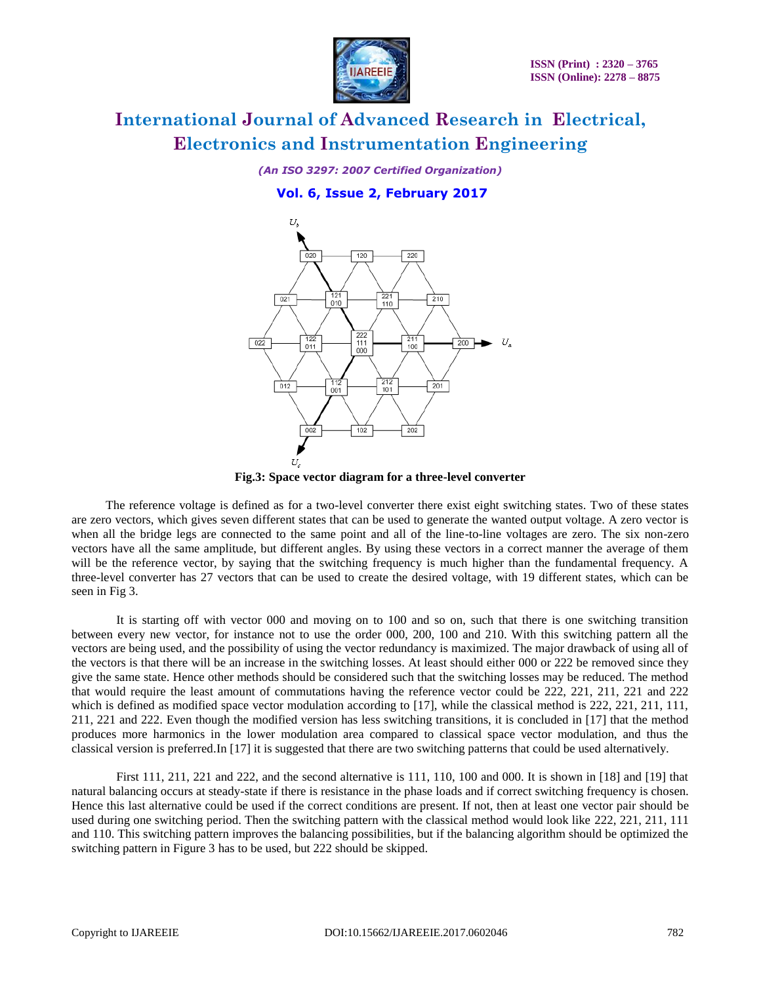

*(An ISO 3297: 2007 Certified Organization)*

### **Vol. 6, Issue 2, February 2017**



**Fig.3: Space vector diagram for a three-level converter**

The reference voltage is defined as for a two-level converter there exist eight switching states. Two of these states are zero vectors, which gives seven different states that can be used to generate the wanted output voltage. A zero vector is when all the bridge legs are connected to the same point and all of the line-to-line voltages are zero. The six non-zero vectors have all the same amplitude, but different angles. By using these vectors in a correct manner the average of them will be the reference vector, by saying that the switching frequency is much higher than the fundamental frequency. A three-level converter has 27 vectors that can be used to create the desired voltage, with 19 different states, which can be seen in Fig 3.

It is starting off with vector 000 and moving on to 100 and so on, such that there is one switching transition between every new vector, for instance not to use the order 000, 200, 100 and 210. With this switching pattern all the vectors are being used, and the possibility of using the vector redundancy is maximized. The major drawback of using all of the vectors is that there will be an increase in the switching losses. At least should either 000 or 222 be removed since they give the same state. Hence other methods should be considered such that the switching losses may be reduced. The method that would require the least amount of commutations having the reference vector could be 222, 221, 211, 221 and 222 which is defined as modified space vector modulation according to [17], while the classical method is 222, 221, 211, 111, 211, 221 and 222. Even though the modified version has less switching transitions, it is concluded in [17] that the method produces more harmonics in the lower modulation area compared to classical space vector modulation, and thus the classical version is preferred.In [17] it is suggested that there are two switching patterns that could be used alternatively.

First 111, 211, 221 and 222, and the second alternative is 111, 110, 100 and 000. It is shown in [18] and [19] that natural balancing occurs at steady-state if there is resistance in the phase loads and if correct switching frequency is chosen. Hence this last alternative could be used if the correct conditions are present. If not, then at least one vector pair should be used during one switching period. Then the switching pattern with the classical method would look like 222, 221, 211, 111 and 110. This switching pattern improves the balancing possibilities, but if the balancing algorithm should be optimized the switching pattern in Figure 3 has to be used, but 222 should be skipped.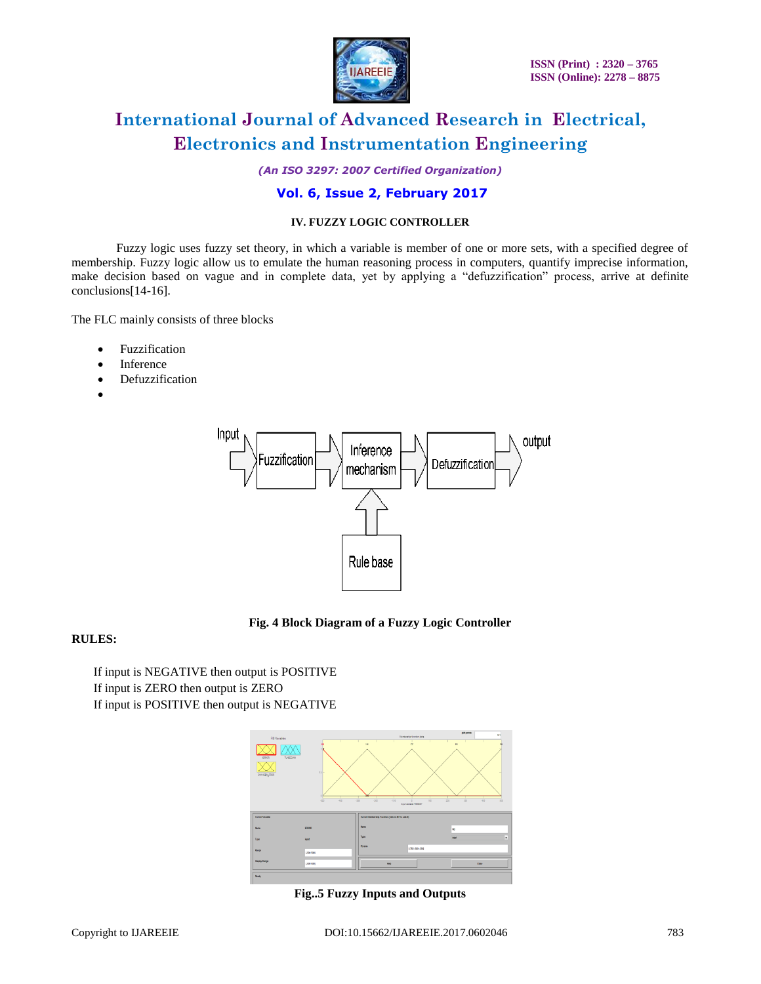

*(An ISO 3297: 2007 Certified Organization)*

### **Vol. 6, Issue 2, February 2017**

### **IV. FUZZY LOGIC CONTROLLER**

Fuzzy logic uses fuzzy set theory, in which a variable is member of one or more sets, with a specified degree of membership. Fuzzy logic allow us to emulate the human reasoning process in computers, quantify imprecise information, make decision based on vague and in complete data, yet by applying a "defuzzification" process, arrive at definite conclusions[14-16].

The FLC mainly consists of three blocks

- Fuzzification
- Inference
- Defuzzification
- $\bullet$



### **Fig. 4 Block Diagram of a Fuzzy Logic Controller**

### **RULES:**

 If input is NEGATIVE then output is POSITIVE If input is ZERO then output is ZERO If input is POSITIVE then output is NEGATIVE



**Fig..5 Fuzzy Inputs and Outputs**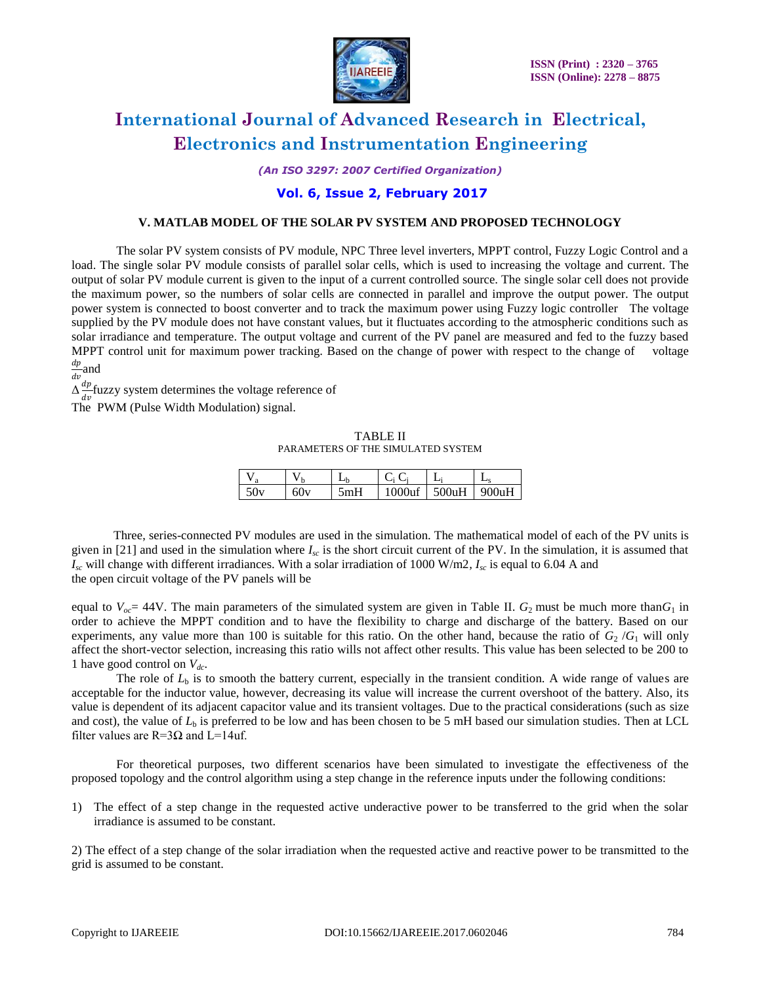

*(An ISO 3297: 2007 Certified Organization)*

### **Vol. 6, Issue 2, February 2017**

### **V. MATLAB MODEL OF THE SOLAR PV SYSTEM AND PROPOSED TECHNOLOGY**

The solar PV system consists of PV module, NPC Three level inverters, MPPT control, Fuzzy Logic Control and a load. The single solar PV module consists of parallel solar cells, which is used to increasing the voltage and current. The output of solar PV module current is given to the input of a current controlled source. The single solar cell does not provide the maximum power, so the numbers of solar cells are connected in parallel and improve the output power. The output power system is connected to boost converter and to track the maximum power using Fuzzy logic controller The voltage supplied by the PV module does not have constant values, but it fluctuates according to the atmospheric conditions such as solar irradiance and temperature. The output voltage and current of the PV panel are measured and fed to the fuzzy based MPPT control unit for maximum power tracking. Based on the change of power with respect to the change of voltage  $\frac{dp}{dp}$ and  $\overline{dv}$ 

 $\Delta \frac{dp}{dx}$  $\frac{dp}{dr}$ fuzzy system determines the voltage reference of

The PWM (Pulse Width Modulation) signal.

TABLE II PARAMETERS OF THE SIMULATED SYSTEM

|      |    |        | ╌     |                     |
|------|----|--------|-------|---------------------|
| 60 N | mH | 1000uf | 500uH | QCD <sub>II</sub> H |

 Three, series-connected PV modules are used in the simulation. The mathematical model of each of the PV units is given in [21] and used in the simulation where *Isc* is the short circuit current of the PV. In the simulation, it is assumed that *Isc* will change with different irradiances. With a solar irradiation of 1000 W/m2*, Isc* is equal to 6.04 A and the open circuit voltage of the PV panels will be

equal to  $V_{oc}$  = 44V. The main parameters of the simulated system are given in Table II.  $G_2$  must be much more than $G_1$  in order to achieve the MPPT condition and to have the flexibility to charge and discharge of the battery. Based on our experiments, any value more than 100 is suitable for this ratio. On the other hand, because the ratio of  $G_2/G_1$  will only affect the short-vector selection, increasing this ratio wills not affect other results. This value has been selected to be 200 to 1 have good control on *Vdc*.

The role of  $L<sub>b</sub>$  is to smooth the battery current, especially in the transient condition. A wide range of values are acceptable for the inductor value, however, decreasing its value will increase the current overshoot of the battery. Also, its value is dependent of its adjacent capacitor value and its transient voltages. Due to the practical considerations (such as size and cost), the value of  $L<sub>b</sub>$  is preferred to be low and has been chosen to be 5 mH based our simulation studies. Then at LCL filter values are  $R = 3\Omega$  and  $L = 14$ uf.

For theoretical purposes, two different scenarios have been simulated to investigate the effectiveness of the proposed topology and the control algorithm using a step change in the reference inputs under the following conditions:

1) The effect of a step change in the requested active underactive power to be transferred to the grid when the solar irradiance is assumed to be constant.

2) The effect of a step change of the solar irradiation when the requested active and reactive power to be transmitted to the grid is assumed to be constant.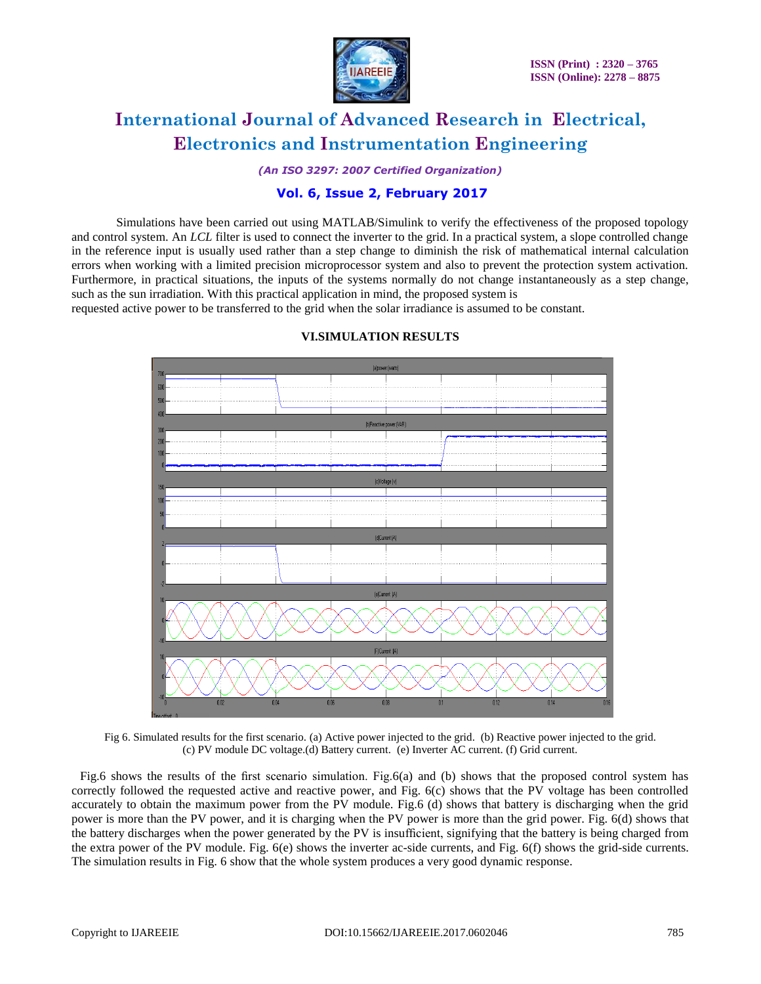

*(An ISO 3297: 2007 Certified Organization)*

### **Vol. 6, Issue 2, February 2017**

Simulations have been carried out using MATLAB/Simulink to verify the effectiveness of the proposed topology and control system. An *LCL* filter is used to connect the inverter to the grid. In a practical system, a slope controlled change in the reference input is usually used rather than a step change to diminish the risk of mathematical internal calculation errors when working with a limited precision microprocessor system and also to prevent the protection system activation. Furthermore, in practical situations, the inputs of the systems normally do not change instantaneously as a step change, such as the sun irradiation. With this practical application in mind, the proposed system is

requested active power to be transferred to the grid when the solar irradiance is assumed to be constant.



### **VI.SIMULATION RESULTS**

Fig 6. Simulated results for the first scenario. (a) Active power injected to the grid. (b) Reactive power injected to the grid. (c) PV module DC voltage.(d) Battery current. (e) Inverter AC current. (f) Grid current.

 Fig.6 shows the results of the first scenario simulation. Fig.6(a) and (b) shows that the proposed control system has correctly followed the requested active and reactive power, and Fig. 6(c) shows that the PV voltage has been controlled accurately to obtain the maximum power from the PV module. Fig.6 (d) shows that battery is discharging when the grid power is more than the PV power, and it is charging when the PV power is more than the grid power. Fig. 6(d) shows that the battery discharges when the power generated by the PV is insufficient, signifying that the battery is being charged from the extra power of the PV module. Fig. 6(e) shows the inverter ac-side currents, and Fig. 6(f) shows the grid-side currents. The simulation results in Fig. 6 show that the whole system produces a very good dynamic response.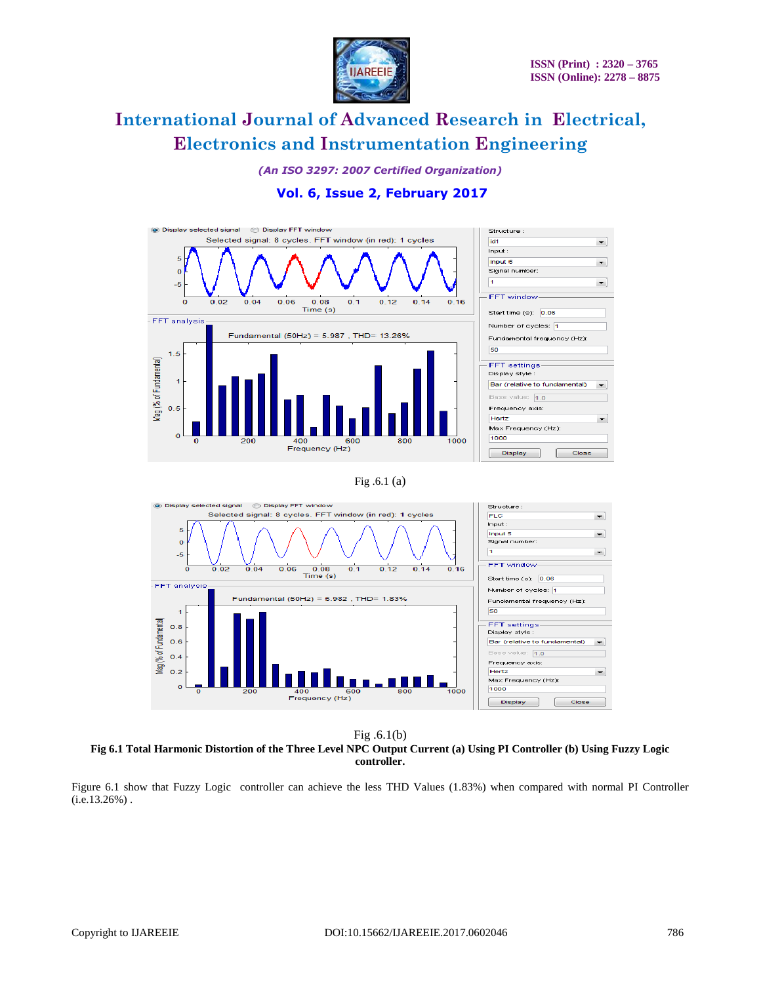

*(An ISO 3297: 2007 Certified Organization)*

### **Vol. 6, Issue 2, February 2017**



### Fig .6.1 (a)



Fig .6.1(b)



Figure 6.1 show that Fuzzy Logic controller can achieve the less THD Values (1.83%) when compared with normal PI Controller (i.e.13.26%) .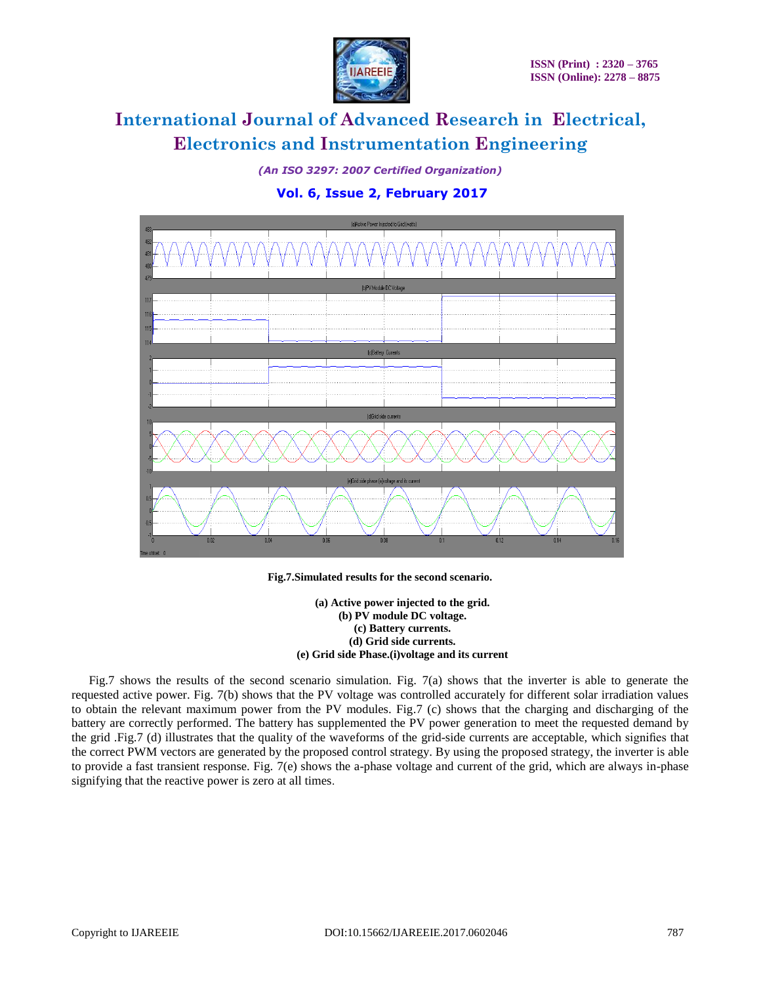

*(An ISO 3297: 2007 Certified Organization)*

# id Grid sin

## **Vol. 6, Issue 2, February 2017**

**Fig.7.Simulated results for the second scenario.**

**(a) Active power injected to the grid. (b) PV module DC voltage. (c) Battery currents. (d) Grid side currents. (e) Grid side Phase.(i)voltage and its current**

 Fig.7 shows the results of the second scenario simulation. Fig. 7(a) shows that the inverter is able to generate the requested active power. Fig. 7(b) shows that the PV voltage was controlled accurately for different solar irradiation values to obtain the relevant maximum power from the PV modules. Fig.7 (c) shows that the charging and discharging of the battery are correctly performed. The battery has supplemented the PV power generation to meet the requested demand by the grid .Fig.7 (d) illustrates that the quality of the waveforms of the grid-side currents are acceptable, which signifies that the correct PWM vectors are generated by the proposed control strategy. By using the proposed strategy, the inverter is able to provide a fast transient response. Fig. 7(e) shows the a-phase voltage and current of the grid, which are always in-phase signifying that the reactive power is zero at all times.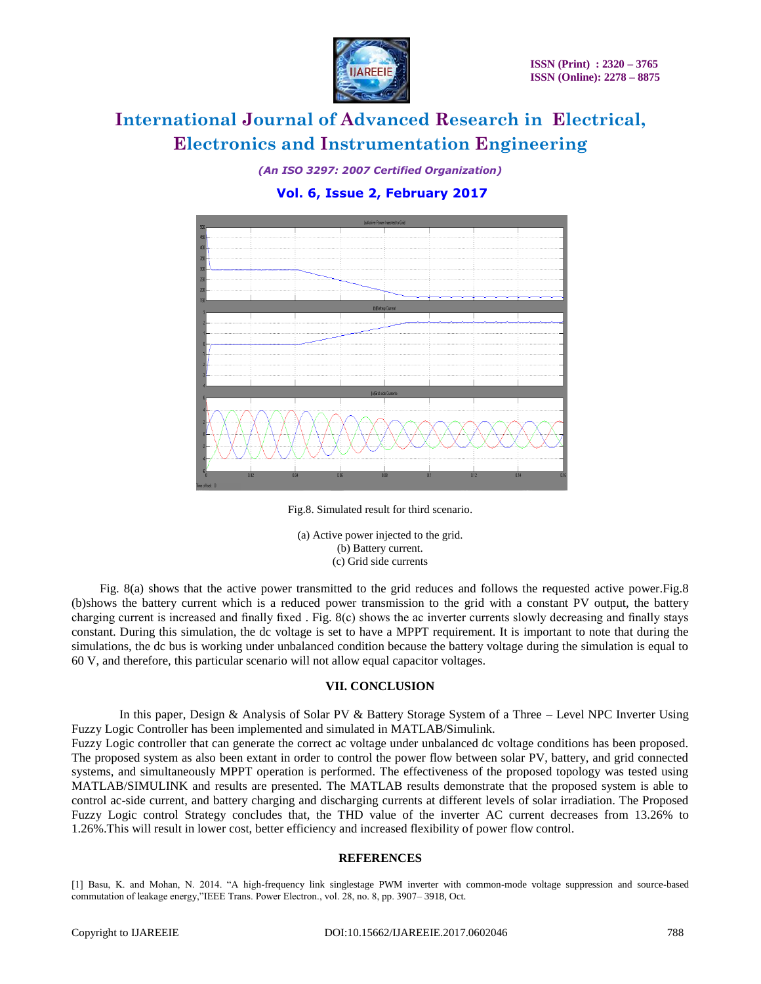

*(An ISO 3297: 2007 Certified Organization)*

### **Vol. 6, Issue 2, February 2017**



Fig.8. Simulated result for third scenario.

(a) Active power injected to the grid. (b) Battery current. (c) Grid side currents

 Fig. 8(a) shows that the active power transmitted to the grid reduces and follows the requested active power.Fig.8 (b)shows the battery current which is a reduced power transmission to the grid with a constant PV output, the battery charging current is increased and finally fixed . Fig. 8(c) shows the ac inverter currents slowly decreasing and finally stays constant. During this simulation, the dc voltage is set to have a MPPT requirement. It is important to note that during the simulations, the dc bus is working under unbalanced condition because the battery voltage during the simulation is equal to 60 V, and therefore, this particular scenario will not allow equal capacitor voltages.

### **VII. CONCLUSION**

In this paper, Design & Analysis of Solar PV & Battery Storage System of a Three – Level NPC Inverter Using Fuzzy Logic Controller has been implemented and simulated in MATLAB/Simulink. Fuzzy Logic controller that can generate the correct ac voltage under unbalanced dc voltage conditions has been proposed. The proposed system as also been extant in order to control the power flow between solar PV, battery, and grid connected systems, and simultaneously MPPT operation is performed. The effectiveness of the proposed topology was tested using MATLAB/SIMULINK and results are presented. The MATLAB results demonstrate that the proposed system is able to control ac-side current, and battery charging and discharging currents at different levels of solar irradiation. The Proposed Fuzzy Logic control Strategy concludes that, the THD value of the inverter AC current decreases from 13.26% to

### **REFERENCES**

1.26%.This will result in lower cost, better efficiency and increased flexibility of power flow control.

[1] Basu, K. and Mohan, N. 2014. "A high-frequency link singlestage PWM inverter with common-mode voltage suppression and source-based commutation of leakage energy,"IEEE Trans. Power Electron., vol. 28, no. 8, pp. 3907– 3918, Oct.